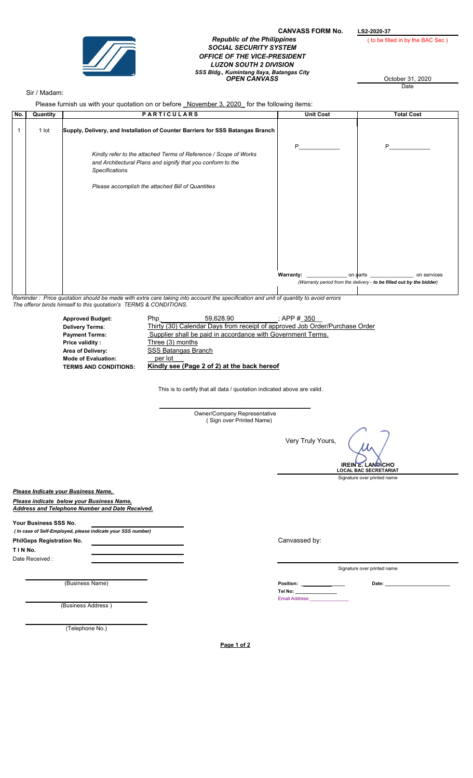

## CANVASS FORM No. LS2-2020-37<br>
(to be filled in by the BAC Sec) **Republic of the Philippines** SOCIAL SECURITY SYSTEM OFFICE OF THE VICE-PRESIDENT LUZON SOUTH 2 DIVISION SSS Bldg., Kumintang Ilaya, Batangas City OPEN CANVASS October 31, 2020

**Date** 

## Sir / Madam:

Please furnish us with your quotation on or before *November 3, 2020* for the following items:

| No. | Quantity | <b>PARTICULARS</b>                                                                                                                                       | <b>Unit Cost</b> | <b>Total Cost</b>                         |
|-----|----------|----------------------------------------------------------------------------------------------------------------------------------------------------------|------------------|-------------------------------------------|
|     | 1 lot    | Supply, Delivery, and Installation of Counter Barriers for SSS Batangas Branch                                                                           |                  |                                           |
|     |          | Kindly refer to the attached Terms of Reference / Scope of Works<br>and Architectural Plans and signify that you conform to the<br><b>Specifications</b> | P                | P                                         |
|     |          | Please accomplish the attached Bill of Quantities                                                                                                        |                  |                                           |
|     |          |                                                                                                                                                          |                  |                                           |
|     |          |                                                                                                                                                          |                  |                                           |
|     |          |                                                                                                                                                          |                  | _ on $\mathsf{parts}$ $\_$<br>on services |
|     |          | (Warranty period from the delivery - to be filled out by the bidder)                                                                                     |                  |                                           |

Reminder : Price quotation should be made with extra care taking into account the specification and unit of quantity to avoid errors The offeror binds himself to this quotation's TERMS & CONDITIONS.

| <b>Approved Budget:</b>      | <b>Php</b>          | 59.628.90                                                   | : APP # 350                                                                 |
|------------------------------|---------------------|-------------------------------------------------------------|-----------------------------------------------------------------------------|
| <b>Delivery Terms:</b>       |                     |                                                             | Thirty (30) Calendar Days from receipt of approved Job Order/Purchase Order |
| <b>Payment Terms:</b>        |                     | Supplier shall be paid in accordance with Government Terms. |                                                                             |
| Price validity:              | Three (3) months    |                                                             |                                                                             |
| Area of Delivery:            | SSS Batangas Branch |                                                             |                                                                             |
| <b>Mode of Evaluation:</b>   | per lot             |                                                             |                                                                             |
| <b>TERMS AND CONDITIONS:</b> |                     | Kindly see (Page 2 of 2) at the back hereof                 |                                                                             |

This is to certify that all data / quotation indicated above are valid.

|                                                                                                                                     | Owner/Company Representative<br>(Sign over Printed Name) |                                                                                                      |
|-------------------------------------------------------------------------------------------------------------------------------------|----------------------------------------------------------|------------------------------------------------------------------------------------------------------|
|                                                                                                                                     |                                                          | Very Truly Yours,<br><b>IREIN E. LANGICHO</b><br><b>LOCAL BAC SECRETARIAT</b>                        |
|                                                                                                                                     |                                                          | Signature over printed name                                                                          |
| Please Indicate your Business Name,<br>Please indicate below your Business Name,<br>Address and Telephone Number and Date Received. |                                                          |                                                                                                      |
| Your Business SSS No.<br>( In case of Self-Employed, please indicate your SSS number)                                               |                                                          |                                                                                                      |
| PhilGeps Registration No.                                                                                                           |                                                          | Canvassed by:                                                                                        |
| TIN No.                                                                                                                             |                                                          |                                                                                                      |
| Date Received:                                                                                                                      |                                                          |                                                                                                      |
|                                                                                                                                     |                                                          | Signature over printed name                                                                          |
| (Business Name)                                                                                                                     |                                                          | <b>Position: Example 2019</b><br>Date:<br>Tel No: _______________<br>Email Address:_________________ |
| (Business Address)                                                                                                                  |                                                          |                                                                                                      |
|                                                                                                                                     |                                                          |                                                                                                      |
| (Telephone No.)                                                                                                                     |                                                          |                                                                                                      |
|                                                                                                                                     | Page 1 of 2                                              |                                                                                                      |